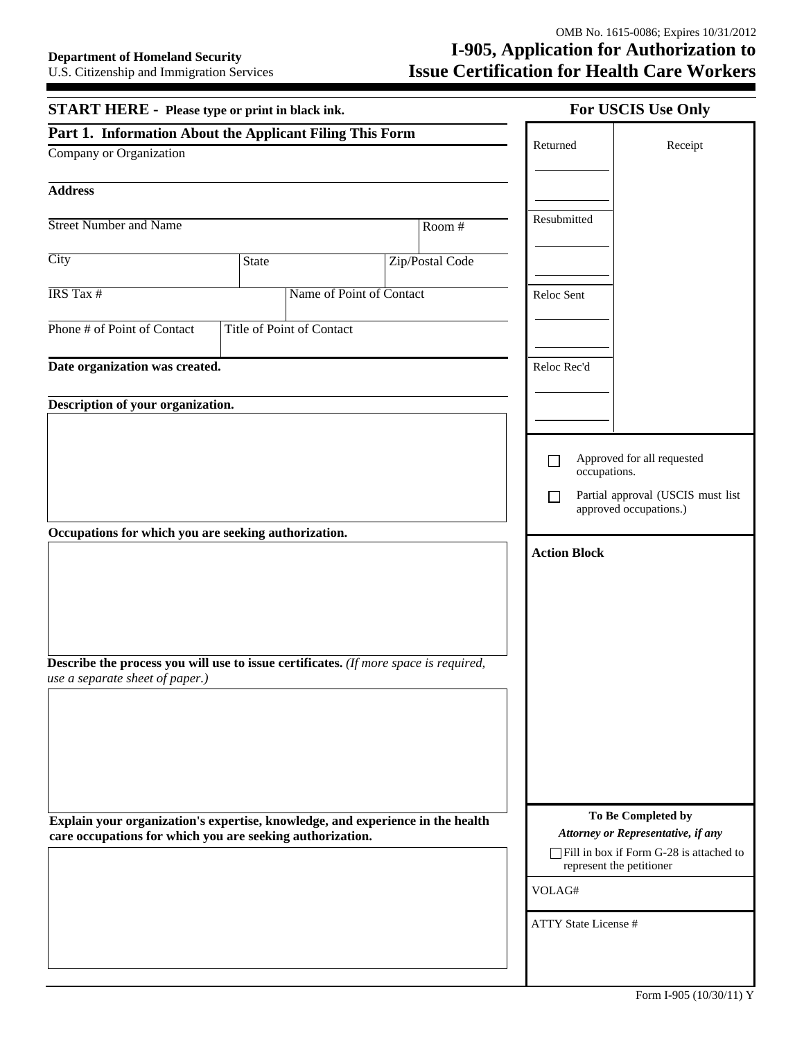| <b>START HERE - Please type or print in black ink.</b>                                                                                                                                 |                           |                          | For USCIS Use Only                                                                                                                         |         |  |
|----------------------------------------------------------------------------------------------------------------------------------------------------------------------------------------|---------------------------|--------------------------|--------------------------------------------------------------------------------------------------------------------------------------------|---------|--|
| Part 1. Information About the Applicant Filing This Form                                                                                                                               |                           |                          | Returned                                                                                                                                   | Receipt |  |
| Company or Organization                                                                                                                                                                |                           |                          |                                                                                                                                            |         |  |
| <b>Address</b>                                                                                                                                                                         |                           |                          |                                                                                                                                            |         |  |
| <b>Street Number and Name</b>                                                                                                                                                          |                           | Room #                   | Resubmitted                                                                                                                                |         |  |
| City                                                                                                                                                                                   | State                     | Zip/Postal Code          |                                                                                                                                            |         |  |
| IRS Tax #                                                                                                                                                                              |                           | Name of Point of Contact | Reloc Sent                                                                                                                                 |         |  |
| Phone # of Point of Contact                                                                                                                                                            | Title of Point of Contact |                          |                                                                                                                                            |         |  |
| Date organization was created.                                                                                                                                                         |                           |                          | Reloc Rec'd                                                                                                                                |         |  |
|                                                                                                                                                                                        |                           |                          |                                                                                                                                            |         |  |
| Description of your organization.                                                                                                                                                      |                           |                          |                                                                                                                                            |         |  |
| Occupations for which you are seeking authorization.<br><b>Describe the process you will use to issue certificates.</b> (If more space is required,<br>use a separate sheet of paper.) |                           |                          | Approved for all requested<br>$\Box$<br>occupations.<br>Partial approval (USCIS must list<br>approved occupations.)<br><b>Action Block</b> |         |  |
| Explain your organization's expertise, knowledge, and experience in the health<br>care occupations for which you are seeking authorization.                                            |                           |                          | To Be Completed by<br>Attorney or Representative, if any<br>Fill in box if Form G-28 is attached to<br>represent the petitioner            |         |  |
|                                                                                                                                                                                        |                           |                          | VOLAG#                                                                                                                                     |         |  |
|                                                                                                                                                                                        |                           |                          | <b>ATTY State License #</b>                                                                                                                |         |  |